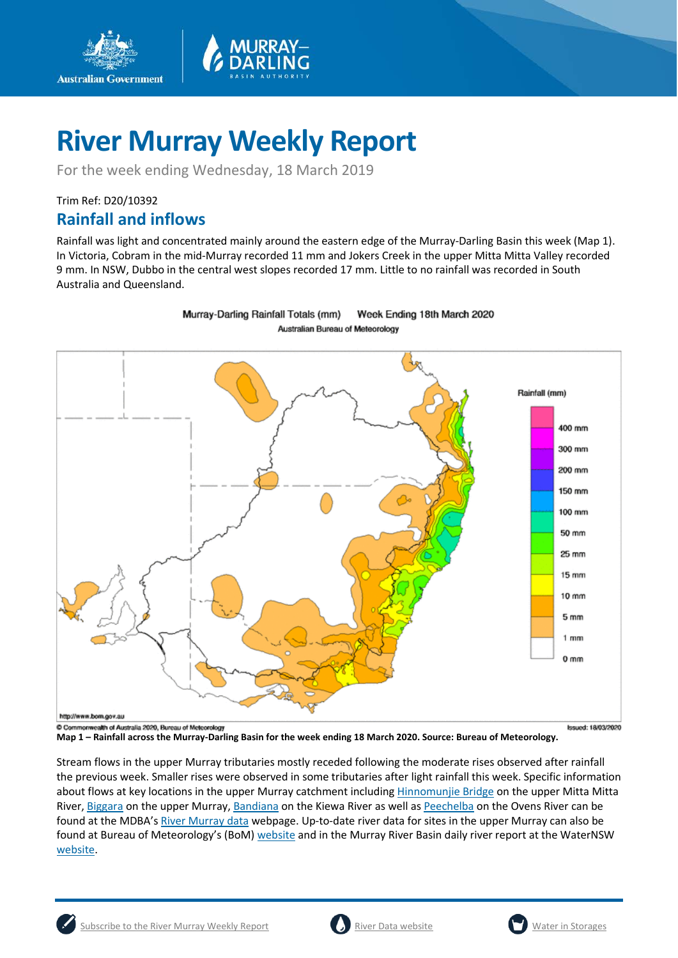

For the week ending Wednesday, 18 March 2019

Trim Ref: D20/10392

**Australian Government** 

## **Rainfall and inflows**

Rainfall was light and concentrated mainly around the eastern edge of the Murray-Darling Basin this week (Map 1). In Victoria, Cobram in the mid-Murray recorded 11 mm and Jokers Creek in the upper Mitta Mitta Valley recorded 9 mm. In NSW, Dubbo in the central west slopes recorded 17 mm. Little to no rainfall was recorded in South Australia and Queensland.



Murray-Darling Rainfall Totals (mm) Week Ending 18th March 2020 Australian Bureau of Meteorology

**Map 1 – Rainfall across the Murray-Darling Basin for the week ending 18 March 2020. Source: Bureau of Meteorology.**

Stream flows in the upper Murray tributaries mostly receded following the moderate rises observed after rainfall the previous week. Smaller rises were observed in some tributaries after light rainfall this week. Specific information about flows at key locations in the upper Murray catchment including [Hinnomunjie Bridge](https://riverdata.mdba.gov.au/hinnomunjie) on the upper Mitta Mitta River[, Biggara](https://riverdata.mdba.gov.au/biggara) on the upper Murray, [Bandiana](https://riverdata.mdba.gov.au/bandiana) on the Kiewa River as well as [Peechelba](https://riverdata.mdba.gov.au/peechelba) on the Ovens River can be found at the MDBA's [River Murray data](https://riverdata.mdba.gov.au/system-view) webpage. Up-to-date river data for sites in the upper Murray can also be found at Bureau of Meteorology's (BoM) [website](http://www.bom.gov.au/cgi-bin/wrap_fwo.pl?IDV60151.html) and in the Murray River Basin daily river report at the WaterNSW [website.](https://realtimedata.waternsw.com.au/water.stm)





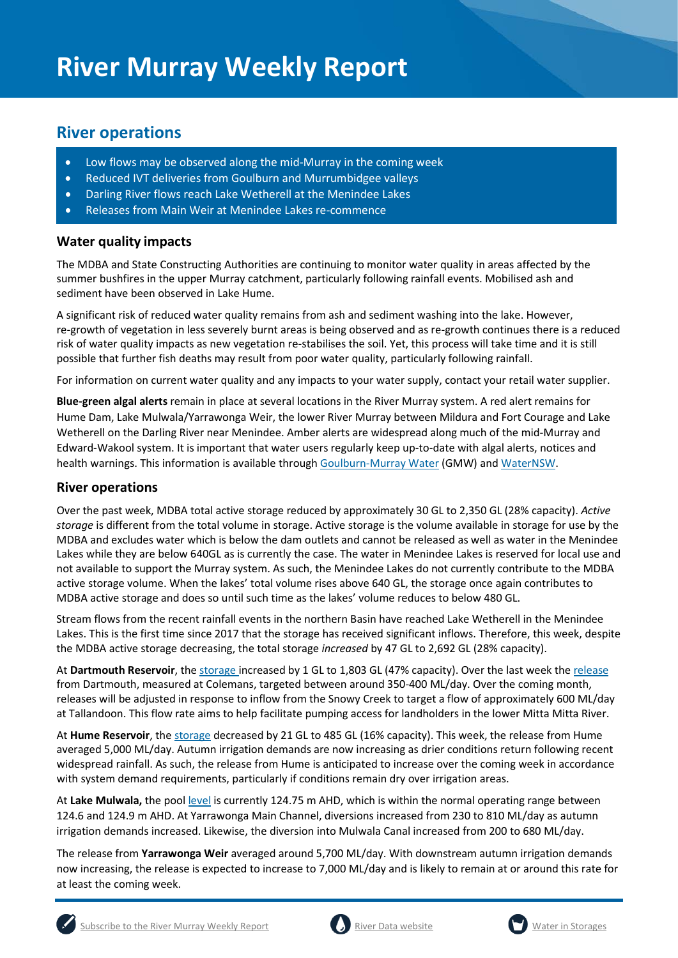## **River operations**

- Low flows may be observed along the mid-Murray in the coming week
- Reduced IVT deliveries from Goulburn and Murrumbidgee valleys
- Darling River flows reach Lake Wetherell at the Menindee Lakes
- Releases from Main Weir at Menindee Lakes re-commence

#### **Water quality impacts**

The MDBA and State Constructing Authorities are continuing to monitor water quality in areas affected by the summer bushfires in the upper Murray catchment, particularly following rainfall events. Mobilised ash and sediment have been observed in Lake Hume.

A significant risk of reduced water quality remains from ash and sediment washing into the lake. However, re-growth of vegetation in less severely burnt areas is being observed and as re-growth continues there is a reduced risk of water quality impacts as new vegetation re-stabilises the soil. Yet, this process will take time and it is still possible that further fish deaths may result from poor water quality, particularly following rainfall.

For information on current water quality and any impacts to your water supply, contact your retail water supplier.

**Blue-green algal alerts** remain in place at several locations in the River Murray system. A red alert remains for Hume Dam, Lake Mulwala/Yarrawonga Weir, the lower River Murray between Mildura and Fort Courage and Lake Wetherell on the Darling River near Menindee. Amber alerts are widespread along much of the mid-Murray and Edward-Wakool system. It is important that water users regularly keep up-to-date with algal alerts, notices and health warnings. This information is available throug[h Goulburn-Murray Water](https://www.g-mwater.com.au/news/bga) (GMW) and [WaterNSW.](https://www.waternsw.com.au/water-quality/algae)

### **River operations**

Over the past week, MDBA total active storage reduced by approximately 30 GL to 2,350 GL (28% capacity). *Active storage* is different from the total volume in storage. Active storage is the volume available in storage for use by the MDBA and excludes water which is below the dam outlets and cannot be released as well as water in the Menindee Lakes while they are below 640GL as is currently the case. The water in Menindee Lakes is reserved for local use and not available to support the Murray system. As such, the Menindee Lakes do not currently contribute to the MDBA active storage volume. When the lakes' total volume rises above 640 GL, the storage once again contributes to MDBA active storage and does so until such time as the lakes' volume reduces to below 480 GL.

Stream flows from the recent rainfall events in the northern Basin have reached Lake Wetherell in the Menindee Lakes. This is the first time since 2017 that the storage has received significant inflows. Therefore, this week, despite the MDBA active storage decreasing, the total storage *increased* by 47 GL to 2,692 GL (28% capacity).

At **Dartmouth Reservoir**, the [storage](https://riverdata.mdba.gov.au/dartmouth-dam) increased by 1 GL to 1,803 GL (47% capacity). Over the last week the [release](https://riverdata.mdba.gov.au/colemans) from Dartmouth, measured at Colemans, targeted between around 350-400 ML/day. Over the coming month, releases will be adjusted in response to inflow from the Snowy Creek to target a flow of approximately 600 ML/day at Tallandoon. This flow rate aims to help facilitate pumping access for landholders in the lower Mitta Mitta River.

At **Hume Reservoir**, the [storage](https://riverdata.mdba.gov.au/hume-dam) decreased by 21 GL to 485 GL (16% capacity). This week, the release from Hume averaged 5,000 ML/day. Autumn irrigation demands are now increasing as drier conditions return following recent widespread rainfall. As such, the release from Hume is anticipated to increase over the coming week in accordance with system demand requirements, particularly if conditions remain dry over irrigation areas.

At **Lake Mulwala,** the pool [level](https://riverdata.mdba.gov.au/yarrawonga-weir-upstream) is currently 124.75 m AHD, which is within the normal operating range between 124.6 and 124.9 m AHD. At Yarrawonga Main Channel, diversions increased from 230 to 810 ML/day as autumn irrigation demands increased. Likewise, the diversion into Mulwala Canal increased from 200 to 680 ML/day.

The release from **Yarrawonga Weir** averaged around 5,700 ML/day. With downstream autumn irrigation demands now increasing, the release is expected to increase to 7,000 ML/day and is likely to remain at or around this rate for at least the coming week.





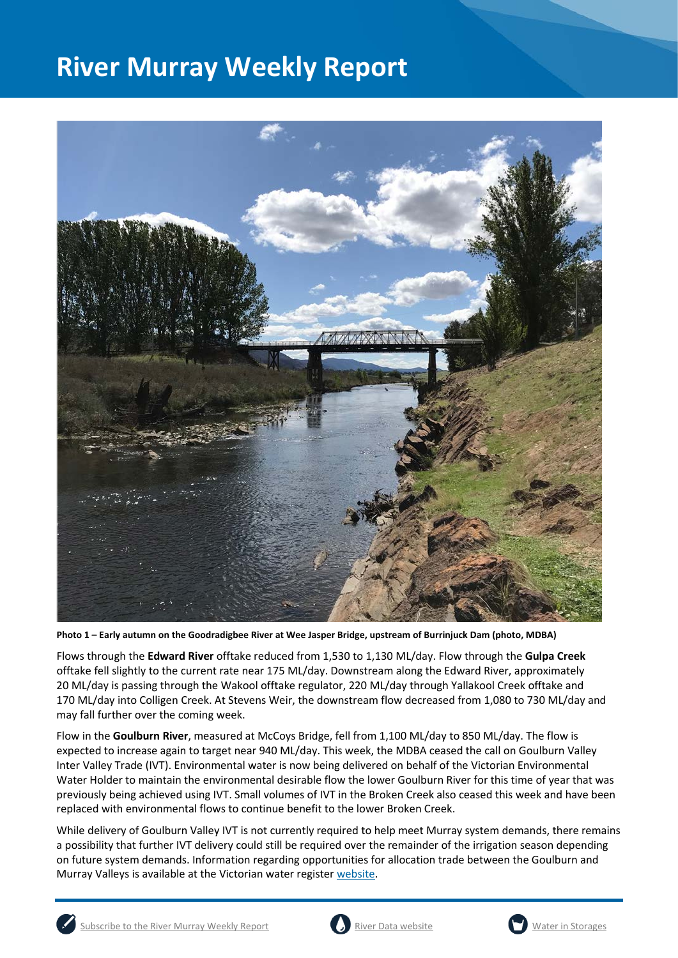

**Photo 1 – Early autumn on the Goodradigbee River at Wee Jasper Bridge, upstream of Burrinjuck Dam (photo, MDBA)**

Flows through the **Edward River** offtake reduced from 1,530 to 1,130 ML/day. Flow through the **Gulpa Creek** offtake fell slightly to the current rate near 175 ML/day. Downstream along the Edward River, approximately 20 ML/day is passing through the Wakool offtake regulator, 220 ML/day through Yallakool Creek offtake and 170 ML/day into Colligen Creek. At Stevens Weir, the downstream flow decreased from 1,080 to 730 ML/day and may fall further over the coming week.

Flow in the **Goulburn River**, measured at McCoys Bridge, fell from 1,100 ML/day to 850 ML/day. The flow is expected to increase again to target near 940 ML/day. This week, the MDBA ceased the call on Goulburn Valley Inter Valley Trade (IVT). Environmental water is now being delivered on behalf of the Victorian Environmental Water Holder to maintain the environmental desirable flow the lower Goulburn River for this time of year that was previously being achieved using IVT. Small volumes of IVT in the Broken Creek also ceased this week and have been replaced with environmental flows to continue benefit to the lower Broken Creek.

While delivery of Goulburn Valley IVT is not currently required to help meet Murray system demands, there remains a possibility that further IVT delivery could still be required over the remainder of the irrigation season depending on future system demands. Information regarding opportunities for allocation trade between the Goulburn and Murray Valleys is available at the Victorian water register [website.](http://waterregister.vic.gov.au/water-trading/allocation-trading#AllocationTradeOpportunities)







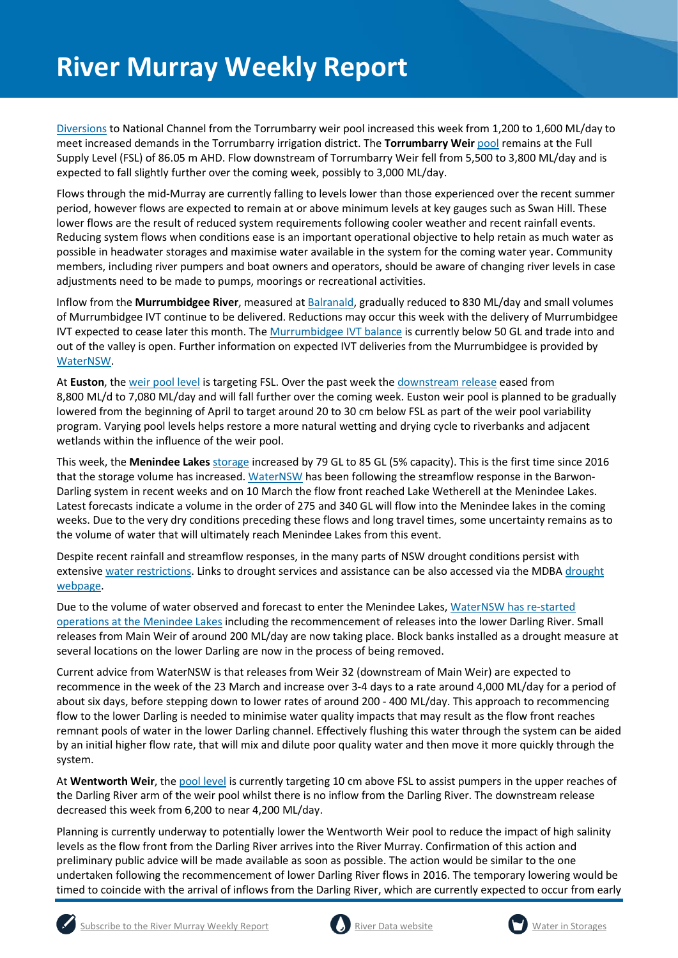[Diversions](https://riverdata.mdba.gov.au/national-channel-ds-torrumbarry-headworks) to National Channel from the Torrumbarry weir pool increased this week from 1,200 to 1,600 ML/day to meet increased demands in the Torrumbarry irrigation district. The **Torrumbarry Weir** [pool](https://riverdata.mdba.gov.au/torrumbarry-weir-lock-26) remains at the Full Supply Level (FSL) of 86.05 m AHD. Flow downstream of Torrumbarry Weir fell from 5,500 to 3,800 ML/day and is expected to fall slightly further over the coming week, possibly to 3,000 ML/day.

Flows through the mid-Murray are currently falling to levels lower than those experienced over the recent summer period, however flows are expected to remain at or above minimum levels at key gauges such as Swan Hill. These lower flows are the result of reduced system requirements following cooler weather and recent rainfall events. Reducing system flows when conditions ease is an important operational objective to help retain as much water as possible in headwater storages and maximise water available in the system for the coming water year. Community members, including river pumpers and boat owners and operators, should be aware of changing river levels in case adjustments need to be made to pumps, moorings or recreational activities.

Inflow from the **Murrumbidgee River**, measured a[t Balranald,](https://riverdata.mdba.gov.au/balranald-weir-downstream) gradually reduced to 830 ML/day and small volumes of Murrumbidgee IVT continue to be delivered. Reductions may occur this week with the delivery of Murrumbidgee IVT expected to cease later this month. The [Murrumbidgee IVT balance](https://www.waternsw.com.au/customer-service/ordering-trading-and-pricing/trading/murrumbidgee) is currently below 50 GL and trade into and out of the valley is open. Further information on expected IVT deliveries from the Murrumbidgee is provided by [WaterNSW.](https://www.waternsw.com.au/customer-service/ordering-trading-and-pricing/trading/murrumbidgee)

At **Euston**, the [weir pool level](https://riverdata.mdba.gov.au/euston-weir-upstream) is targeting FSL. Over the past week the [downstream release](https://riverdata.mdba.gov.au/euston-weir-downstream) eased from 8,800 ML/d to 7,080 ML/day and will fall further over the coming week. Euston weir pool is planned to be gradually lowered from the beginning of April to target around 20 to 30 cm below FSL as part of the weir pool variability program. Varying pool levels helps restore a more natural wetting and drying cycle to riverbanks and adjacent wetlands within the influence of the weir pool.

This week, the **Menindee Lakes** storage increased by 79 GL to 85 GL (5% capacity). This is the first time since 2016 that the storage volume has increased. [WaterNSW](https://www.waternsw.com.au/supply/regional-nsw/operations-updates) has been following the streamflow response in the Barwon-Darling system in recent weeks and on 10 March the flow front reached Lake Wetherell at the Menindee Lakes. Latest forecasts indicate a volume in the order of 275 and 340 GL will flow into the Menindee lakes in the coming weeks. Due to the very dry conditions preceding these flows and long travel times, some uncertainty remains as to the volume of water that will ultimately reach Menindee Lakes from this event.

Despite recent rainfall and streamflow responses, in the many parts of NSW drought conditions persist with extensiv[e water restrictions.](https://www.industry.nsw.gov.au/water/allocations-availability/temporary-water-restrictions) Links to drought services and assistance can be also accessed via the MDB[A drought](https://www.mdba.gov.au/managing-water/drought-murray-darling-basin)  [webpage.](https://www.mdba.gov.au/managing-water/drought-murray-darling-basin)

Due to the volume of water observed and forecast to enter the Menindee Lakes[, WaterNSW has re-started](https://www.industry.nsw.gov.au/__data/assets/pdf_file/0017/293102/lower-darling-releases-fact-sheet-1.pdf)  [operations at the Menindee Lakes](https://www.industry.nsw.gov.au/__data/assets/pdf_file/0017/293102/lower-darling-releases-fact-sheet-1.pdf) including the recommencement of releases into the lower Darling River. Small releases from Main Weir of around 200 ML/day are now taking place. Block banks installed as a drought measure at several locations on the lower Darling are now in the process of being removed.

Current advice from WaterNSW is that releases from Weir 32 (downstream of Main Weir) are expected to recommence in the week of the 23 March and increase over 3-4 days to a rate around 4,000 ML/day for a period of about six days, before stepping down to lower rates of around 200 - 400 ML/day. This approach to recommencing flow to the lower Darling is needed to minimise water quality impacts that may result as the flow front reaches remnant pools of water in the lower Darling channel. Effectively flushing this water through the system can be aided by an initial higher flow rate, that will mix and dilute poor quality water and then move it more quickly through the system.

At **Wentworth Weir**, the [pool level](https://riverdata.mdba.gov.au/wentworth-weir-lock-10) is currently targeting 10 cm above FSL to assist pumpers in the upper reaches of the Darling River arm of the weir pool whilst there is no inflow from the Darling River. The downstream release decreased this week from 6,200 to near 4,200 ML/day.

Planning is currently underway to potentially lower the Wentworth Weir pool to reduce the impact of high salinity levels as the flow front from the Darling River arrives into the River Murray. Confirmation of this action and preliminary public advice will be made available as soon as possible. The action would be similar to the one undertaken following the recommencement of lower Darling River flows in 2016. The temporary lowering would be timed to coincide with the arrival of inflows from the Darling River, which are currently expected to occur from early





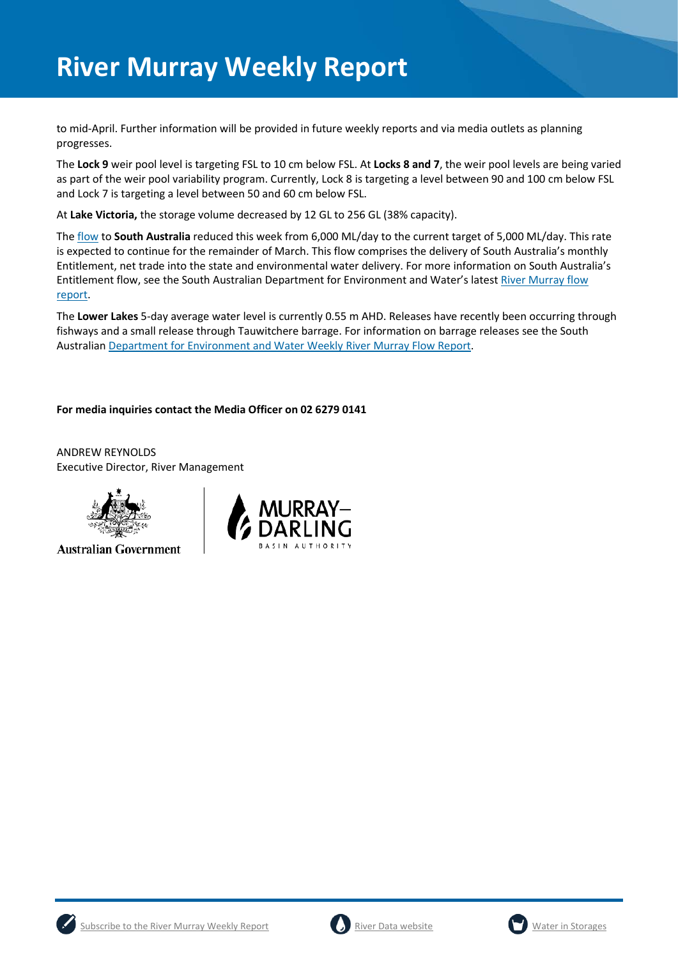to mid-April. Further information will be provided in future weekly reports and via media outlets as planning progresses.

The **Lock 9** weir pool level is targeting FSL to 10 cm below FSL. At **Locks 8 and 7**, the weir pool levels are being varied as part of the weir pool variability program. Currently, Lock 8 is targeting a level between 90 and 100 cm below FSL and Lock 7 is targeting a level between 50 and 60 cm below FSL.

At **Lake Victoria,** the storage volume decreased by 12 GL to 256 GL (38% capacity).

The [flow](https://riverdata.mdba.gov.au/flow-south-australia-calculated) to **South Australia** reduced this week from 6,000 ML/day to the current target of 5,000 ML/day. This rate is expected to continue for the remainder of March. This flow comprises the delivery of South Australia's monthly Entitlement, net trade into the state and environmental water delivery. For more information on South Australia's Entitlement flow, see the South Australian Department for Environment and Water's latest River Murray flow [report.](https://www.waterconnect.sa.gov.au/River-Murray/SitePages/2019%20Flow%20Reports.aspx)

The **Lower Lakes** 5-day average water level is currently 0.55 m AHD. Releases have recently been occurring through fishways and a small release through Tauwitchere barrage. For information on barrage releases see the South Australia[n Department for Environment and Water Weekly River Murray Flow Report.](https://www.waterconnect.sa.gov.au/River-Murray/SitePages/River%20Murray%20Flow%20Reports.aspx)

#### **For media inquiries contact the Media Officer on 02 6279 0141**

ANDREW REYNOLDS Executive Director, River Management



**Australian Government** 







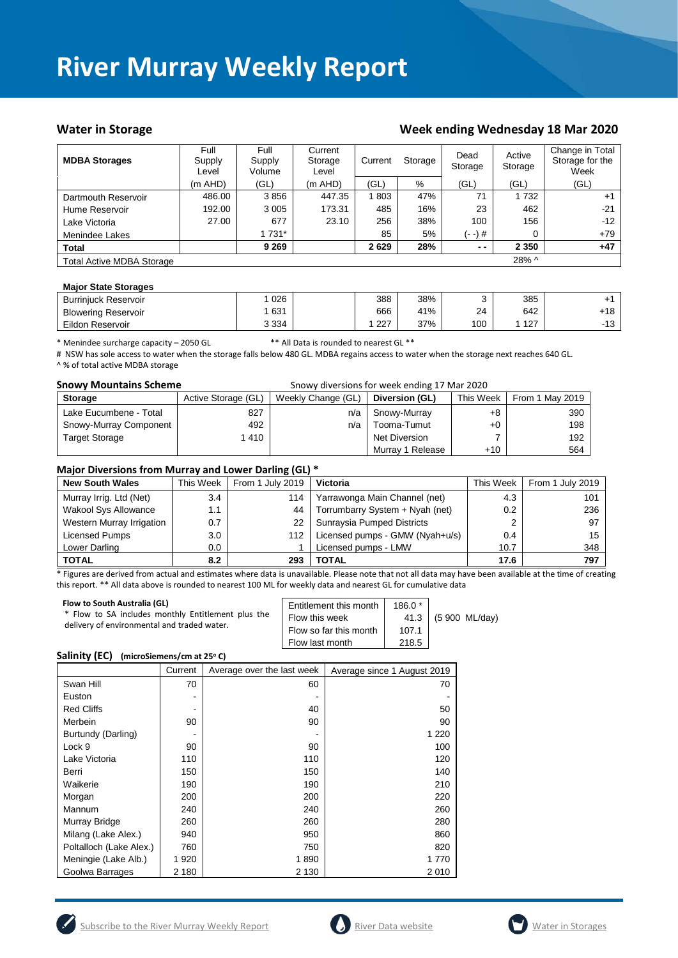#### Water in Storage **Week ending Wednesday 18 Mar 2020**

| <b>MDBA Storages</b>             | Full<br>Supply<br>Level | Full<br>Supply<br>Volume | Current<br>Storage<br>Level | Current | Storage | Dead<br>Storage | Active<br>Storage | Change in Total<br>Storage for the<br>Week |
|----------------------------------|-------------------------|--------------------------|-----------------------------|---------|---------|-----------------|-------------------|--------------------------------------------|
|                                  | $(m$ AHD)               | (GL)                     | $(m$ AHD)                   | (GL)    | %       | (GL)            | (GL)              | (GL)                                       |
| Dartmouth Reservoir              | 486.00                  | 3856                     | 447.35                      | 803     | 47%     | 71              | 1 7 3 2           | $+1$                                       |
| Hume Reservoir                   | 192.00                  | 3 0 0 5                  | 173.31                      | 485     | 16%     | 23              | 462               | $-21$                                      |
| Lake Victoria                    | 27.00                   | 677                      | 23.10                       | 256     | 38%     | 100             | 156               | $-12$                                      |
| Menindee Lakes                   |                         | 1 731*                   |                             | 85      | 5%      | (- -) #         | 0                 | $+79$                                      |
| <b>Total</b>                     |                         | 9 2 6 9                  |                             | 2629    | 28%     | $ -$            | 2 3 5 0           | $+47$                                      |
| <b>Total Active MDBA Storage</b> |                         |                          |                             |         |         |                 | 28% ^             |                                            |

#### **Major State Storages**

| <b>Burriniuck Reservoir</b> | 026     | 388 | 38% |     | 385 |                   |
|-----------------------------|---------|-----|-----|-----|-----|-------------------|
| <b>Blowering Reservoir</b>  | 631     | 666 | 41% | 24  | 642 | $+18$             |
| Eildon Reservoir            | 3 3 3 4 | 227 | 37% | 100 | 127 | $\sqrt{2}$<br>-13 |

\* Menindee surcharge capacity – 2050 GL \*\* All Data is rounded to nearest GL \*\*

# NSW has sole access to water when the storage falls below 480 GL. MDBA regains access to water when the storage next reaches 640 GL. ^ % of total active MDBA storage

| <b>Snowy Mountains Scheme</b> | Snowy diversions for week ending 17 Mar 2020 |     |                  |           |                 |
|-------------------------------|----------------------------------------------|-----|------------------|-----------|-----------------|
| <b>Storage</b>                | Active Storage (GL)<br>Weekly Change (GL)    |     | Diversion (GL)   | This Week | From 1 May 2019 |
| Lake Eucumbene - Total        | 827                                          | n/a | Snowy-Murray     | +8        | 390             |
| Snowy-Murray Component        | 492                                          | n/a | Tooma-Tumut      | $+0$      | 198             |
| <b>Target Storage</b>         | 1 410                                        |     | Net Diversion    |           | 192             |
|                               |                                              |     | Murray 1 Release | $+10$     | 564             |

#### **Major Diversions from Murray and Lower Darling (GL) \***

| <b>New South Wales</b>      | This Week | . .<br>From 1 July 2019 | <b>Victoria</b>                 | This Week | From 1 July 2019 |
|-----------------------------|-----------|-------------------------|---------------------------------|-----------|------------------|
| Murray Irrig. Ltd (Net)     | 3.4       | 114                     | Yarrawonga Main Channel (net)   | 4.3       | 101              |
| <b>Wakool Sys Allowance</b> | 1.1       | 44                      | Torrumbarry System + Nyah (net) | 0.2       | 236              |
| Western Murray Irrigation   | 0.7       | 22                      | Sunraysia Pumped Districts      | 2         | 97               |
| Licensed Pumps              | 3.0       | 112                     | Licensed pumps - GMW (Nyah+u/s) | 0.4       | 15               |
| Lower Darling               | 0.0       |                         | Licensed pumps - LMW            | 10.7      | 348              |
| <b>TOTAL</b>                | 8.2       | 293                     | TOTAL                           | 17.6      | 797              |

\* Figures are derived from actual and estimates where data is unavailable. Please note that not all data may have been available at the time of creating this report. \*\* All data above is rounded to nearest 100 ML for weekly data and nearest GL for cumulative data

| Flow to South Australia (GL)<br>* Flow to SA includes monthly Entitlement plus the<br>delivery of environmental and traded water. | Entitlement this month<br>Flow this week<br>Flow so far this month | $186.0*$<br>107.1 | 41.3 (5 900 ML/day) |
|-----------------------------------------------------------------------------------------------------------------------------------|--------------------------------------------------------------------|-------------------|---------------------|
|                                                                                                                                   | Flow last month                                                    | 218.5             |                     |

#### **Salinity (EC)** (microSiemens/cm at 25°C)

|                         | Current | Average over the last week | Average since 1 August 2019 |
|-------------------------|---------|----------------------------|-----------------------------|
| Swan Hill               | 70      | 60                         | 70                          |
| Euston                  |         |                            |                             |
| <b>Red Cliffs</b>       |         | 40                         | 50                          |
| Merbein                 | 90      | 90                         | 90                          |
| Burtundy (Darling)      |         |                            | 1 2 2 0                     |
| Lock 9                  | 90      | 90                         | 100                         |
| Lake Victoria           | 110     | 110                        | 120                         |
| Berri                   | 150     | 150                        | 140                         |
| Waikerie                | 190     | 190                        | 210                         |
| Morgan                  | 200     | 200                        | 220                         |
| Mannum                  | 240     | 240                        | 260                         |
| Murray Bridge           | 260     | 260                        | 280                         |
| Milang (Lake Alex.)     | 940     | 950                        | 860                         |
| Poltalloch (Lake Alex.) | 760     | 750                        | 820                         |
| Meningie (Lake Alb.)    | 1920    | 1890                       | 1 770                       |
| Goolwa Barrages         | 2 180   | 2 1 3 0                    | 2010                        |





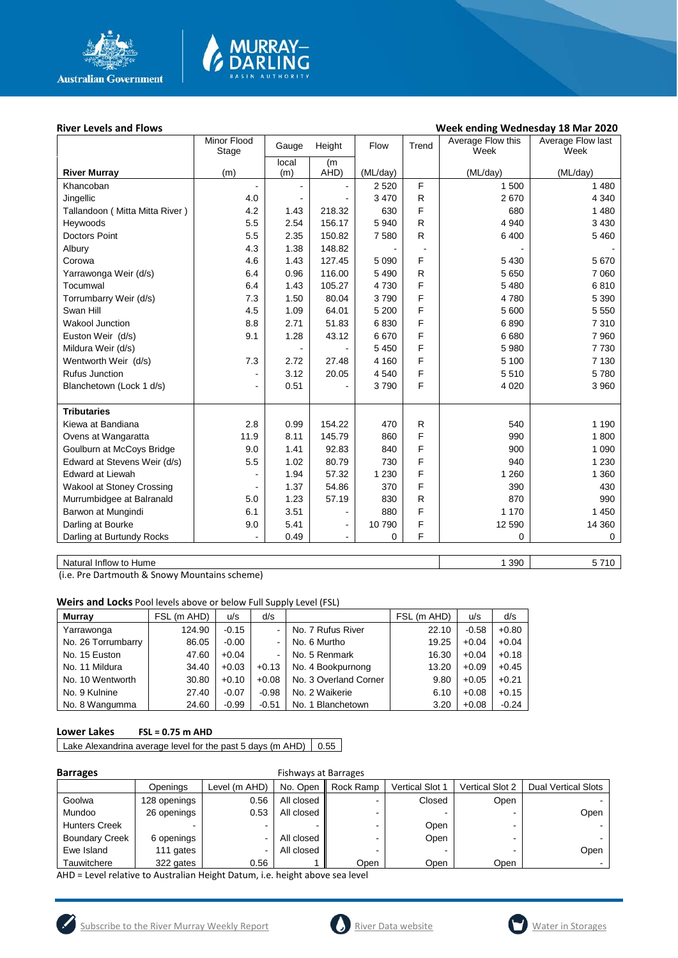

# MURRAY<mark>–</mark><br>DARLING

#### River Levels and Flows **River Levels and Flows Week ending Wednesday 18 Mar 2020**

|                                | Minor Flood<br>Stage     | Gauge          | Height         | Flow     | Trend        | Average Flow this<br>Week | Average Flow last<br>Week |
|--------------------------------|--------------------------|----------------|----------------|----------|--------------|---------------------------|---------------------------|
|                                |                          | local          | (m)            |          |              |                           |                           |
| <b>River Murray</b>            | (m)                      | (m)            | AHD)           | (ML/day) |              | (ML/day)                  | (ML/day)                  |
| Khancoban                      |                          |                |                | 2 5 2 0  | F            | 1 500                     | 1 4 8 0                   |
| Jingellic                      | 4.0                      |                |                | 3 4 7 0  | R            | 2670                      | 4 3 4 0                   |
| Tallandoon (Mitta Mitta River) | 4.2                      | 1.43           | 218.32         | 630      | F            | 680                       | 1480                      |
| Heywoods                       | 5.5                      | 2.54           | 156.17         | 5 9 4 0  | R            | 4 9 4 0                   | 3 4 3 0                   |
| <b>Doctors Point</b>           | 5.5                      | 2.35           | 150.82         | 7580     | R            | 6 400                     | 5 4 6 0                   |
| Albury                         | 4.3                      | 1.38           | 148.82         |          |              |                           |                           |
| Corowa                         | 4.6                      | 1.43           | 127.45         | 5 0 9 0  | F            | 5 4 3 0                   | 5670                      |
| Yarrawonga Weir (d/s)          | 6.4                      | 0.96           | 116.00         | 5 4 9 0  | $\mathsf{R}$ | 5 6 5 0                   | 7 0 6 0                   |
| Tocumwal                       | 6.4                      | 1.43           | 105.27         | 4730     | F            | 5 4 8 0                   | 6810                      |
| Torrumbarry Weir (d/s)         | 7.3                      | 1.50           | 80.04          | 3790     | F            | 4780                      | 5 3 9 0                   |
| Swan Hill                      | 4.5                      | 1.09           | 64.01          | 5 200    | F            | 5 600                     | 5 5 5 0                   |
| Wakool Junction                | 8.8                      | 2.71           | 51.83          | 6830     | F            | 6890                      | 7 3 1 0                   |
| Euston Weir (d/s)              | 9.1                      | 1.28           | 43.12          | 6670     | F            | 6680                      | 7 9 6 0                   |
| Mildura Weir (d/s)             |                          | $\blacksquare$ |                | 5 4 5 0  | F            | 5 9 8 0                   | 7730                      |
| Wentworth Weir (d/s)           | 7.3                      | 2.72           | 27.48          | 4 160    | F            | 5 100                     | 7 1 3 0                   |
| <b>Rufus Junction</b>          | ä,                       | 3.12           | 20.05          | 4 5 4 0  | F            | 5510                      | 5780                      |
| Blanchetown (Lock 1 d/s)       | $\overline{\phantom{a}}$ | 0.51           |                | 3790     | F            | 4 0 20                    | 3 9 6 0                   |
|                                |                          |                |                |          |              |                           |                           |
| <b>Tributaries</b>             |                          |                |                |          |              |                           |                           |
| Kiewa at Bandiana              | 2.8                      | 0.99           | 154.22         | 470      | R            | 540                       | 1 1 9 0                   |
| Ovens at Wangaratta            | 11.9                     | 8.11           | 145.79         | 860      | F            | 990                       | 1800                      |
| Goulburn at McCoys Bridge      | 9.0                      | 1.41           | 92.83          | 840      | F            | 900                       | 1 0 9 0                   |
| Edward at Stevens Weir (d/s)   | 5.5                      | 1.02           | 80.79          | 730      | F            | 940                       | 1 2 3 0                   |
| <b>Edward at Liewah</b>        | Ē,                       | 1.94           | 57.32          | 1 2 3 0  | F            | 1 2 6 0                   | 1 3 6 0                   |
| Wakool at Stoney Crossing      |                          | 1.37           | 54.86          | 370      | F            | 390                       | 430                       |
| Murrumbidgee at Balranald      | 5.0                      | 1.23           | 57.19          | 830      | $\mathsf{R}$ | 870                       | 990                       |
| Barwon at Mungindi             | 6.1                      | 3.51           |                | 880      | F            | 1 1 7 0                   | 1 4 5 0                   |
| Darling at Bourke              | 9.0                      | 5.41           | $\blacksquare$ | 10790    | F            | 12 590                    | 14 360                    |
| Darling at Burtundy Rocks      | L.                       | 0.49           | $\blacksquare$ | 0        | F            | 0                         | 0                         |
|                                |                          |                |                |          |              |                           |                           |

Natural Inflow to Hume 5710

(i.e. Pre Dartmouth & Snowy Mountains scheme)

**Weirs and Locks** Pool levels above or below Full Supply Level (FSL)

| <b>Murrav</b>      | FSL (m AHD) | u/s     | d/s     |                       | FSL (m AHD) | u/s     | d/s     |
|--------------------|-------------|---------|---------|-----------------------|-------------|---------|---------|
| Yarrawonga         | 124.90      | $-0.15$ |         | No. 7 Rufus River     | 22.10       | $-0.58$ | $+0.80$ |
| No. 26 Torrumbarry | 86.05       | $-0.00$ |         | No. 6 Murtho          | 19.25       | $+0.04$ | $+0.04$ |
| No. 15 Euston      | 47.60       | $+0.04$ |         | No. 5 Renmark         | 16.30       | $+0.04$ | $+0.18$ |
| No. 11 Mildura     | 34.40       | $+0.03$ | $+0.13$ | No. 4 Bookpurnong     | 13.20       | $+0.09$ | $+0.45$ |
| No. 10 Wentworth   | 30.80       | $+0.10$ | $+0.08$ | No. 3 Overland Corner | 9.80        | $+0.05$ | $+0.21$ |
| No. 9 Kulnine      | 27.40       | $-0.07$ | $-0.98$ | No. 2 Waikerie        | 6.10        | $+0.08$ | $+0.15$ |
| No. 8 Wangumma     | 24.60       | $-0.99$ | $-0.51$ | No. 1 Blanchetown     | 3.20        | $+0.08$ | $-0.24$ |

#### **Lower Lakes FSL = 0.75 m AHD**

Lake Alexandrina average level for the past 5 days (m AHD)  $\Big| 0.55 \Big|$ 

| Barrag |
|--------|
|        |

**Barrages** Fishways at Barrages

| --------              |              |                          |            |           |                 |                 |                            |
|-----------------------|--------------|--------------------------|------------|-----------|-----------------|-----------------|----------------------------|
|                       | Openings     | Level (m AHD)            | No. Open   | Rock Ramp | Vertical Slot 1 | Vertical Slot 2 | <b>Dual Vertical Slots</b> |
| Goolwa                | 128 openings | 0.56                     | All closed |           | Closed          | Open            |                            |
| Mundoo                | 26 openings  | 0.53                     | All closed |           |                 |                 | Open                       |
| <b>Hunters Creek</b>  |              |                          |            |           | Open            |                 |                            |
| <b>Boundary Creek</b> | 6 openings   | ۰                        | All closed |           | Open            |                 |                            |
| Ewe Island            | 111 gates    | $\overline{\phantom{0}}$ | All closed |           |                 |                 | Open                       |
| Tauwitchere           | 322 gates    | 0.56                     |            | Open      | Open            | Open            |                            |

AHD = Level relative to Australian Height Datum, i.e. height above sea level